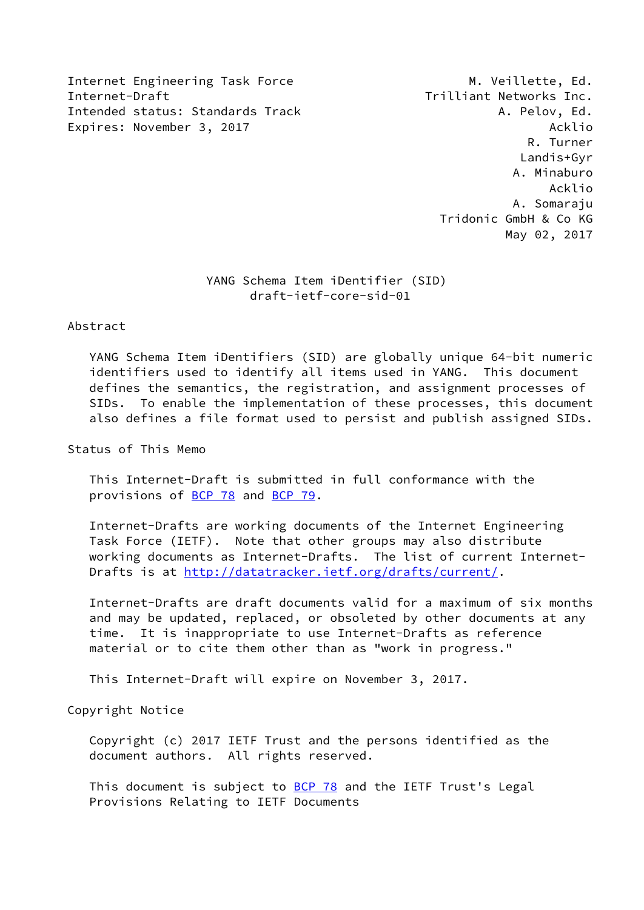Internet Engineering Task Force M. Veillette, Ed. Internet-Draft Trilliant Networks Inc. Intended status: Standards Track A. Pelov, Ed. Expires: November 3, 2017 and the state of the state of the Acklio

 R. Turner Landis+Gyr A. Minaburo Acklio A. Somaraju Tridonic GmbH & Co KG May 02, 2017

## YANG Schema Item iDentifier (SID) draft-ietf-core-sid-01

## Abstract

 YANG Schema Item iDentifiers (SID) are globally unique 64-bit numeric identifiers used to identify all items used in YANG. This document defines the semantics, the registration, and assignment processes of SIDs. To enable the implementation of these processes, this document also defines a file format used to persist and publish assigned SIDs.

Status of This Memo

 This Internet-Draft is submitted in full conformance with the provisions of [BCP 78](https://datatracker.ietf.org/doc/pdf/bcp78) and [BCP 79](https://datatracker.ietf.org/doc/pdf/bcp79).

 Internet-Drafts are working documents of the Internet Engineering Task Force (IETF). Note that other groups may also distribute working documents as Internet-Drafts. The list of current Internet- Drafts is at<http://datatracker.ietf.org/drafts/current/>.

 Internet-Drafts are draft documents valid for a maximum of six months and may be updated, replaced, or obsoleted by other documents at any time. It is inappropriate to use Internet-Drafts as reference material or to cite them other than as "work in progress."

This Internet-Draft will expire on November 3, 2017.

Copyright Notice

 Copyright (c) 2017 IETF Trust and the persons identified as the document authors. All rights reserved.

This document is subject to **[BCP 78](https://datatracker.ietf.org/doc/pdf/bcp78)** and the IETF Trust's Legal Provisions Relating to IETF Documents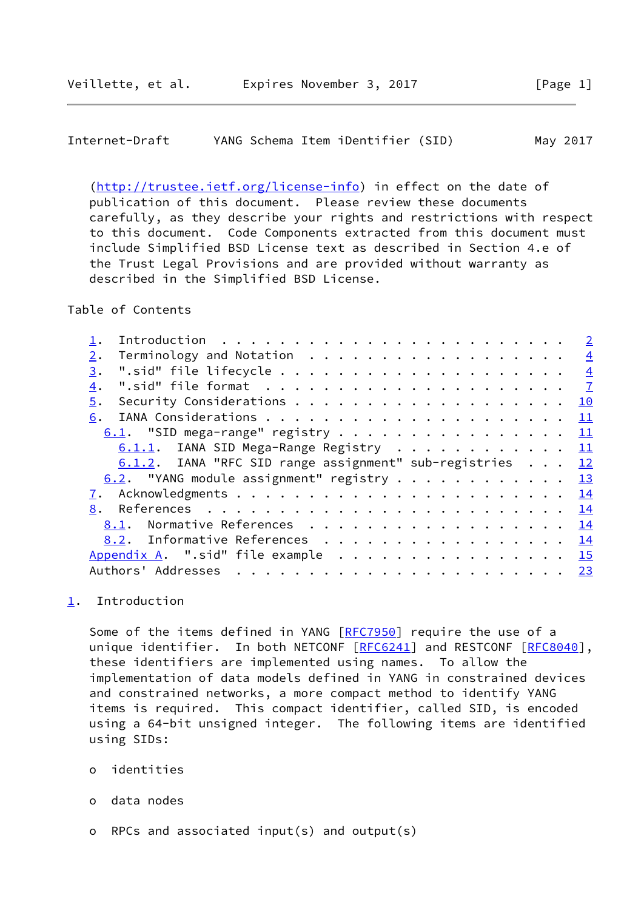<span id="page-1-1"></span>

| Internet-Draft |  |  |  | YANG Schema Item iDentifier (SID) |  |  | May 2017 |
|----------------|--|--|--|-----------------------------------|--|--|----------|
|----------------|--|--|--|-----------------------------------|--|--|----------|

 [\(http://trustee.ietf.org/license-info](http://trustee.ietf.org/license-info)) in effect on the date of publication of this document. Please review these documents carefully, as they describe your rights and restrictions with respect to this document. Code Components extracted from this document must include Simplified BSD License text as described in Section 4.e of the Trust Legal Provisions and are provided without warranty as described in the Simplified BSD License.

Table of Contents

|                  |                                                          |  |  |  |  |  |  |  |  |  |  |  | $\overline{2}$ |
|------------------|----------------------------------------------------------|--|--|--|--|--|--|--|--|--|--|--|----------------|
| 2.               | Terminology and Notation                                 |  |  |  |  |  |  |  |  |  |  |  | $\frac{4}{1}$  |
| 3.               |                                                          |  |  |  |  |  |  |  |  |  |  |  | $\frac{4}{1}$  |
| $\overline{4}$ . |                                                          |  |  |  |  |  |  |  |  |  |  |  | $\overline{1}$ |
| 5.               |                                                          |  |  |  |  |  |  |  |  |  |  |  | 10             |
| 6.               |                                                          |  |  |  |  |  |  |  |  |  |  |  | <u> 11</u>     |
|                  | $6.1$ . "SID mega-range" registry 11                     |  |  |  |  |  |  |  |  |  |  |  |                |
|                  | 6.1.1. IANA SID Mega-Range Registry 11                   |  |  |  |  |  |  |  |  |  |  |  |                |
|                  |                                                          |  |  |  |  |  |  |  |  |  |  |  |                |
|                  | 6.1.2. IANA "RFC SID range assignment" sub-registries 12 |  |  |  |  |  |  |  |  |  |  |  |                |
|                  | 6.2. "YANG module assignment" registry $\frac{13}{2}$    |  |  |  |  |  |  |  |  |  |  |  |                |
| 7.               |                                                          |  |  |  |  |  |  |  |  |  |  |  |                |
| 8.               |                                                          |  |  |  |  |  |  |  |  |  |  |  |                |
|                  | <u>8.1</u> . Normative References <u>14</u>              |  |  |  |  |  |  |  |  |  |  |  |                |
|                  | 8.2. Informative References 14                           |  |  |  |  |  |  |  |  |  |  |  |                |
|                  | Appendix A. ".sid" file example 15                       |  |  |  |  |  |  |  |  |  |  |  |                |
|                  | Authors' Addresses                                       |  |  |  |  |  |  |  |  |  |  |  | 23             |

<span id="page-1-0"></span>[1](#page-1-0). Introduction

Some of the items defined in YANG [[RFC7950](https://datatracker.ietf.org/doc/pdf/rfc7950)] require the use of a unique identifier. In both NETCONF [\[RFC6241](https://datatracker.ietf.org/doc/pdf/rfc6241)] and RESTCONF [[RFC8040\]](https://datatracker.ietf.org/doc/pdf/rfc8040), these identifiers are implemented using names. To allow the implementation of data models defined in YANG in constrained devices and constrained networks, a more compact method to identify YANG items is required. This compact identifier, called SID, is encoded using a 64-bit unsigned integer. The following items are identified using SIDs:

- o identities
- o data nodes
- o RPCs and associated input(s) and output(s)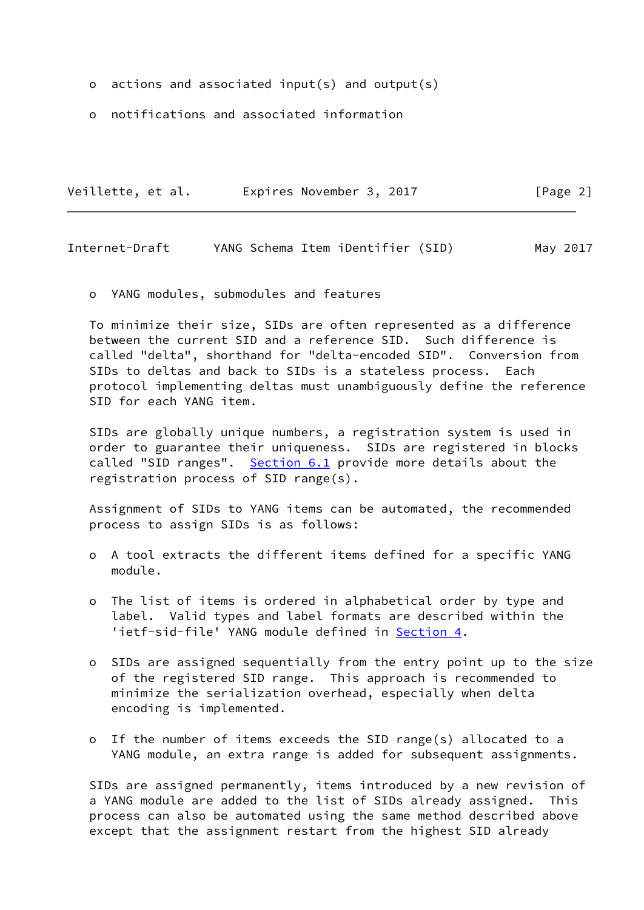- o actions and associated input(s) and output(s)
- o notifications and associated information

| Veillette, et al. | Expires November 3, 2017 |  | [Page 2] |  |
|-------------------|--------------------------|--|----------|--|
|                   |                          |  |          |  |

Internet-Draft YANG Schema Item iDentifier (SID) May 2017

o YANG modules, submodules and features

 To minimize their size, SIDs are often represented as a difference between the current SID and a reference SID. Such difference is called "delta", shorthand for "delta-encoded SID". Conversion from SIDs to deltas and back to SIDs is a stateless process. Each protocol implementing deltas must unambiguously define the reference SID for each YANG item.

 SIDs are globally unique numbers, a registration system is used in order to guarantee their uniqueness. SIDs are registered in blocks called "SID ranges". [Section 6.1](#page-11-3) provide more details about the registration process of SID range(s).

 Assignment of SIDs to YANG items can be automated, the recommended process to assign SIDs is as follows:

- o A tool extracts the different items defined for a specific YANG module.
- o The list of items is ordered in alphabetical order by type and label. Valid types and label formats are described within the 'ietf-sid-file' YANG module defined in [Section 4.](#page-7-0)
- o SIDs are assigned sequentially from the entry point up to the size of the registered SID range. This approach is recommended to minimize the serialization overhead, especially when delta encoding is implemented.
- o If the number of items exceeds the SID range(s) allocated to a YANG module, an extra range is added for subsequent assignments.

 SIDs are assigned permanently, items introduced by a new revision of a YANG module are added to the list of SIDs already assigned. This process can also be automated using the same method described above except that the assignment restart from the highest SID already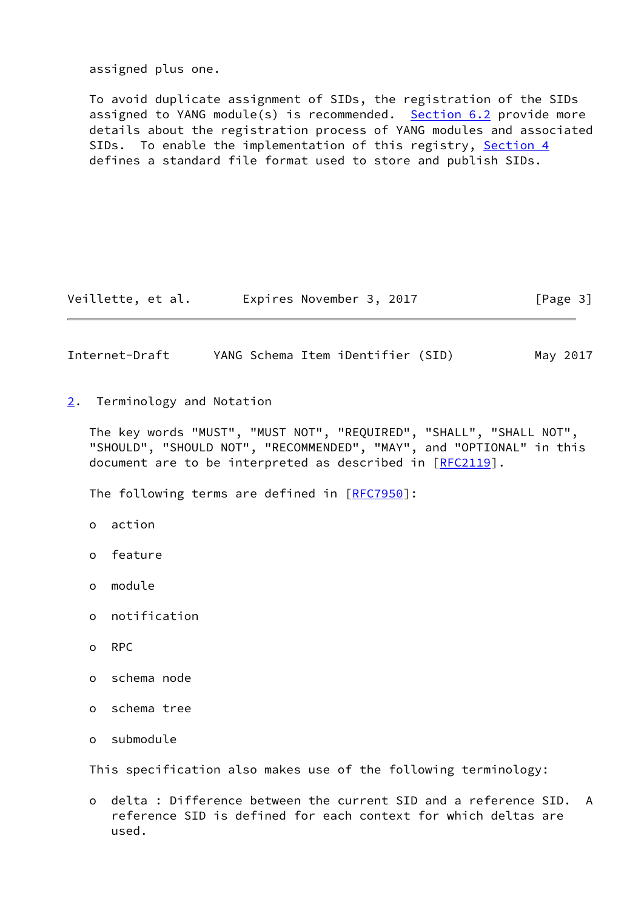assigned plus one.

 To avoid duplicate assignment of SIDs, the registration of the SIDs assigned to YANG module(s) is recommended. [Section 6.2](#page-13-1) provide more details about the registration process of YANG modules and associated SIDs. To enable the implementation of this registry, [Section 4](#page-7-0) defines a standard file format used to store and publish SIDs.

Veillette, et al. Expires November 3, 2017 [Page 3]

<span id="page-3-1"></span>Internet-Draft YANG Schema Item iDentifier (SID) May 2017

<span id="page-3-0"></span>[2](#page-3-0). Terminology and Notation

 The key words "MUST", "MUST NOT", "REQUIRED", "SHALL", "SHALL NOT", "SHOULD", "SHOULD NOT", "RECOMMENDED", "MAY", and "OPTIONAL" in this document are to be interpreted as described in [\[RFC2119](https://datatracker.ietf.org/doc/pdf/rfc2119)].

The following terms are defined in [[RFC7950\]](https://datatracker.ietf.org/doc/pdf/rfc7950):

- o action
- o feature
- o module
- o notification
- o RPC
- o schema node
- o schema tree
- o submodule

This specification also makes use of the following terminology:

 o delta : Difference between the current SID and a reference SID. A reference SID is defined for each context for which deltas are used.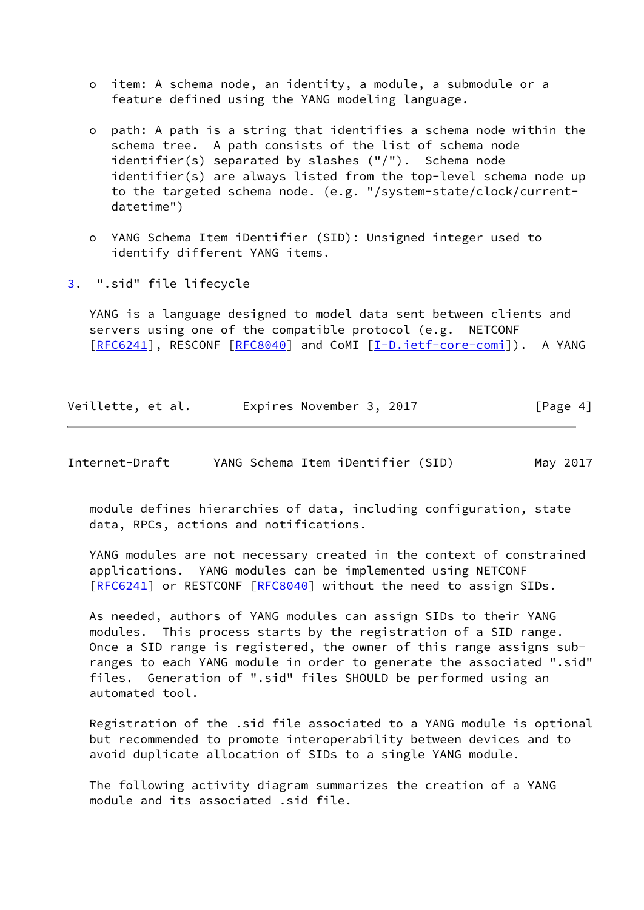- o item: A schema node, an identity, a module, a submodule or a feature defined using the YANG modeling language.
- o path: A path is a string that identifies a schema node within the schema tree. A path consists of the list of schema node identifier(s) separated by slashes ("/"). Schema node identifier(s) are always listed from the top-level schema node up to the targeted schema node. (e.g. "/system-state/clock/current datetime")
- o YANG Schema Item iDentifier (SID): Unsigned integer used to identify different YANG items.
- <span id="page-4-0"></span>[3](#page-4-0). ".sid" file lifecycle

 YANG is a language designed to model data sent between clients and servers using one of the compatible protocol (e.g. NETCONF [\[RFC6241](https://datatracker.ietf.org/doc/pdf/rfc6241)], RESCONF [[RFC8040\]](https://datatracker.ietf.org/doc/pdf/rfc8040) and CoMI [[I-D.ietf-core-comi\]](#page-15-2)). A YANG

Veillette, et al. Expires November 3, 2017 [Page 4]

Internet-Draft YANG Schema Item iDentifier (SID) May 2017

 module defines hierarchies of data, including configuration, state data, RPCs, actions and notifications.

 YANG modules are not necessary created in the context of constrained applications. YANG modules can be implemented using NETCONF [\[RFC6241](https://datatracker.ietf.org/doc/pdf/rfc6241)] or RESTCONF [[RFC8040](https://datatracker.ietf.org/doc/pdf/rfc8040)] without the need to assign SIDs.

 As needed, authors of YANG modules can assign SIDs to their YANG modules. This process starts by the registration of a SID range. Once a SID range is registered, the owner of this range assigns sub ranges to each YANG module in order to generate the associated ".sid" files. Generation of ".sid" files SHOULD be performed using an automated tool.

 Registration of the .sid file associated to a YANG module is optional but recommended to promote interoperability between devices and to avoid duplicate allocation of SIDs to a single YANG module.

 The following activity diagram summarizes the creation of a YANG module and its associated .sid file.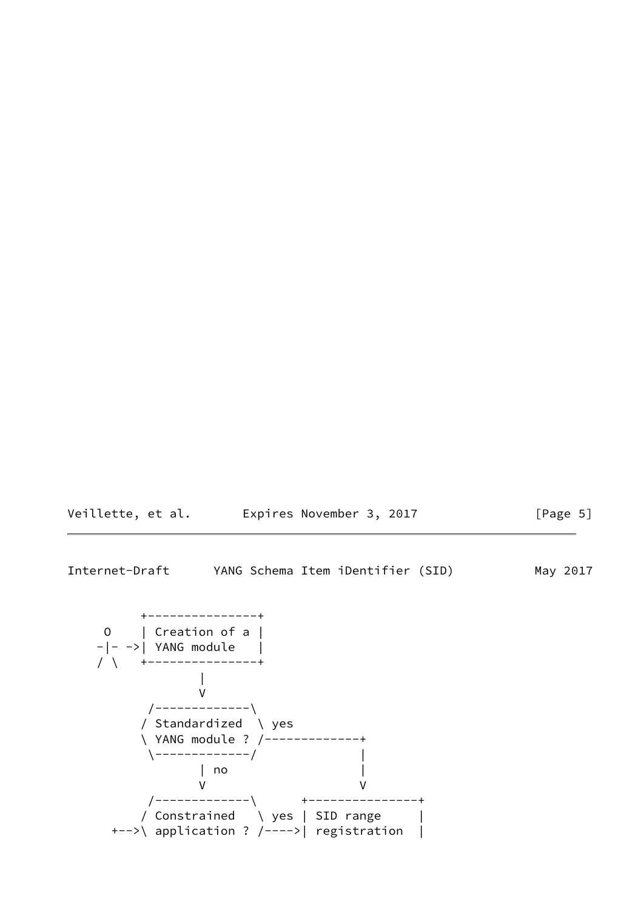| Veillette, et al. | Expires November 3, 2017 | [Page 5] |
|-------------------|--------------------------|----------|
|-------------------|--------------------------|----------|

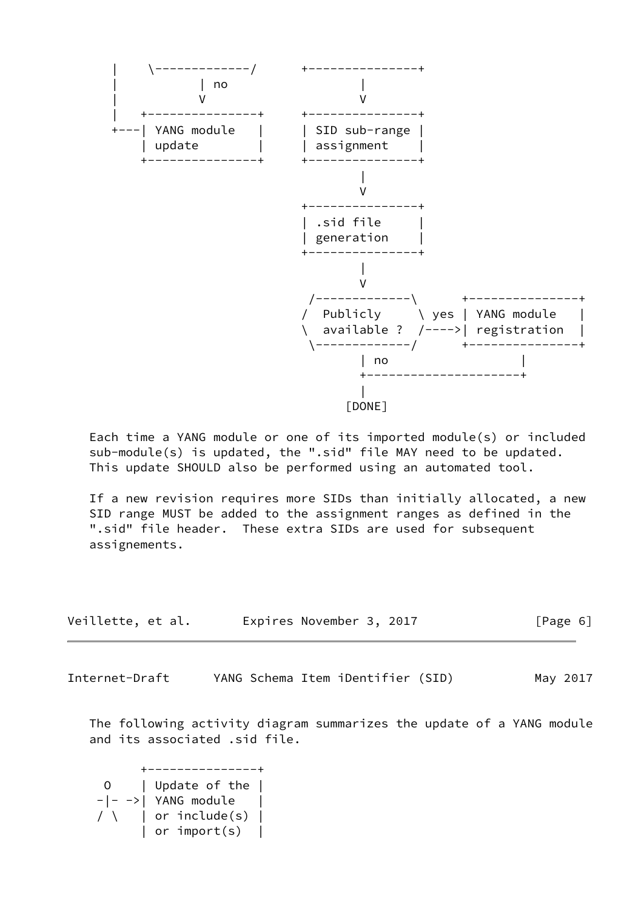

 Each time a YANG module or one of its imported module(s) or included sub-module(s) is updated, the ".sid" file MAY need to be updated. This update SHOULD also be performed using an automated tool.

 If a new revision requires more SIDs than initially allocated, a new SID range MUST be added to the assignment ranges as defined in the ".sid" file header. These extra SIDs are used for subsequent assignements.

| Veillette, et al. | Expires November 3, 2017 | [Page 6] |
|-------------------|--------------------------|----------|
|-------------------|--------------------------|----------|

<span id="page-6-0"></span>Internet-Draft YANG Schema Item iDentifier (SID) May 2017

 The following activity diagram summarizes the update of a YANG module and its associated .sid file.

 +---------------+ 0 | Update of the |  $-|-->|$  YANG module  $/ \ \$  | or include(s) | | or import(s) |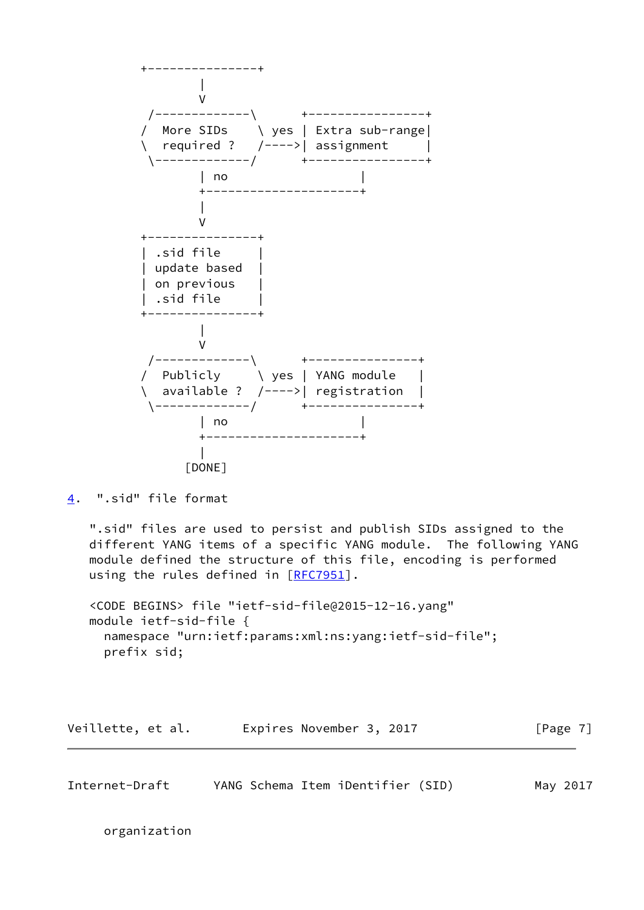

<span id="page-7-0"></span>[4](#page-7-0). ".sid" file format

 ".sid" files are used to persist and publish SIDs assigned to the different YANG items of a specific YANG module. The following YANG module defined the structure of this file, encoding is performed using the rules defined in [[RFC7951\]](https://datatracker.ietf.org/doc/pdf/rfc7951).

 <CODE BEGINS> file "ietf-sid-file@2015-12-16.yang" module ietf-sid-file { namespace "urn:ietf:params:xml:ns:yang:ietf-sid-file"; prefix sid;

Veillette, et al. Expires November 3, 2017 [Page 7]

Internet-Draft YANG Schema Item iDentifier (SID) May 2017

organization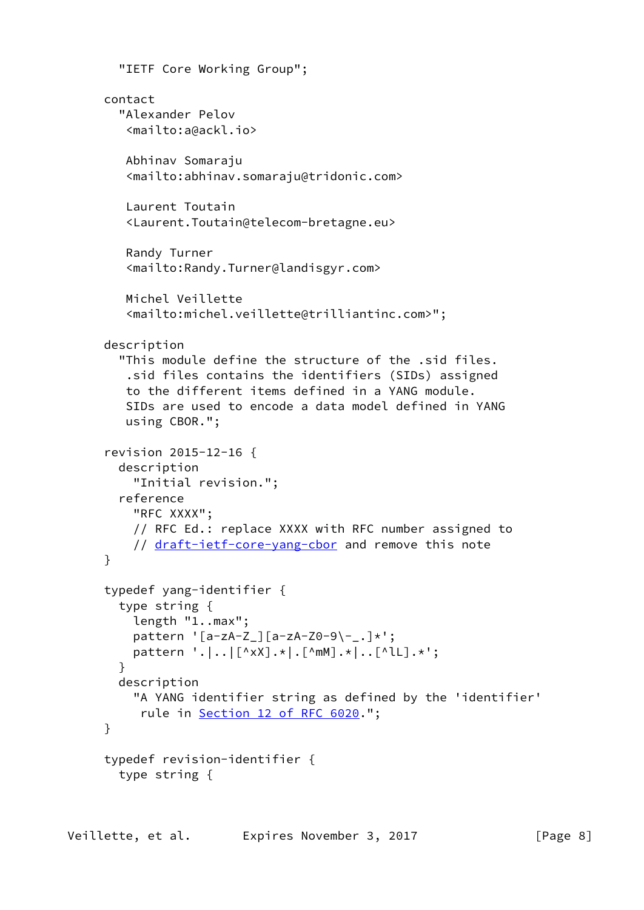```
 "IETF Core Working Group";
 contact
   "Alexander Pelov
    <mailto:a@ackl.io>
    Abhinav Somaraju
    <mailto:abhinav.somaraju@tridonic.com>
    Laurent Toutain
    <Laurent.Toutain@telecom-bretagne.eu>
    Randy Turner
    <mailto:Randy.Turner@landisgyr.com>
    Michel Veillette
    <mailto:michel.veillette@trilliantinc.com>";
 description
   "This module define the structure of the .sid files.
    .sid files contains the identifiers (SIDs) assigned
    to the different items defined in a YANG module.
    SIDs are used to encode a data model defined in YANG
    using CBOR.";
 revision 2015-12-16 {
   description
     "Initial revision.";
   reference
     "RFC XXXX";
     // RFC Ed.: replace XXXX with RFC number assigned to
     draft-ietf-core-yang-cbor and remove this note
 }
 typedef yang-identifier {
   type string {
     length "1..max";
     pattern '[a-zA-Z_][a-zA-Z0-9\-_.]*';
     pattern '.|..|[^xX].*|.[^mM].*|..[^lL].*';
   }
   description
     "A YANG identifier string as defined by the 'identifier'
      rule in Section 12 of RFC 6020.";
 }
 typedef revision-identifier {
   type string {
```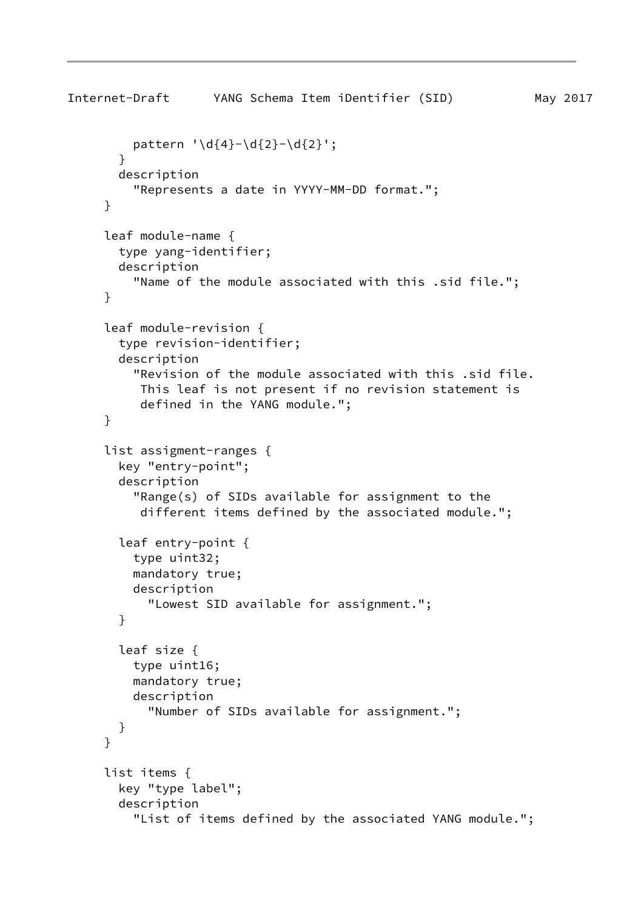```
Internet-Draft YANG Schema Item iDentifier (SID) May 2017
         pattern '\d{4}-\d{2}-\d{2}';
        }
        description
          "Represents a date in YYYY-MM-DD format.";
      }
      leaf module-name {
        type yang-identifier;
        description
          "Name of the module associated with this .sid file.";
      }
      leaf module-revision {
        type revision-identifier;
        description
          "Revision of the module associated with this .sid file.
           This leaf is not present if no revision statement is
           defined in the YANG module.";
      }
      list assigment-ranges {
        key "entry-point";
        description
          "Range(s) of SIDs available for assignment to the
           different items defined by the associated module.";
        leaf entry-point {
          type uint32;
          mandatory true;
          description
            "Lowest SID available for assignment.";
        }
        leaf size {
          type uint16;
          mandatory true;
          description
            "Number of SIDs available for assignment.";
        }
      }
      list items {
        key "type label";
        description
          "List of items defined by the associated YANG module.";
```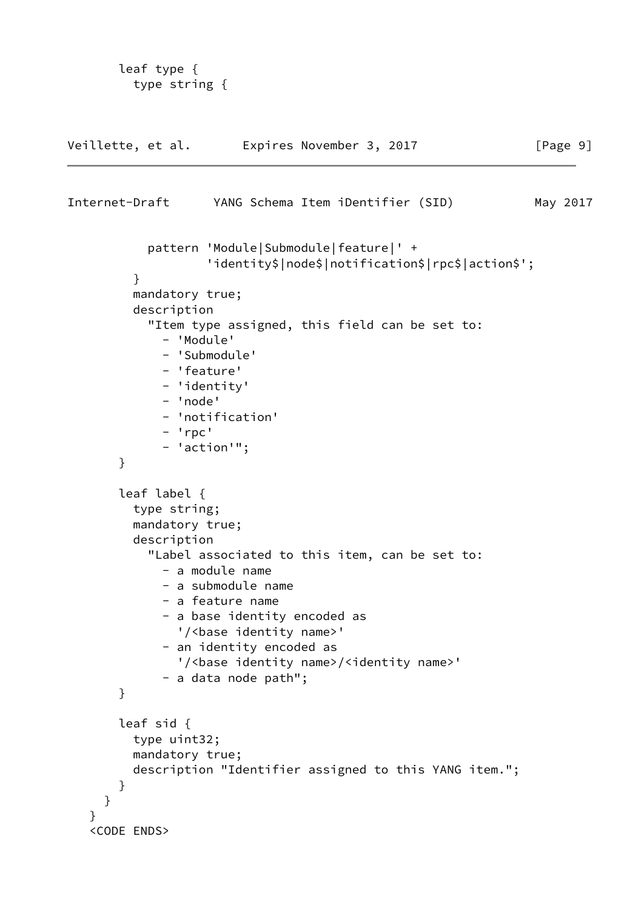```
 leaf type {
          type string {
Veillette, et al.  Expires November 3, 2017 [Page 9]
Internet-Draft YANG Schema Item iDentifier (SID) May 2017
            pattern 'Module|Submodule|feature|' +
                    'identity$|node$|notification$|rpc$|action$';
          }
          mandatory true;
          description
            "Item type assigned, this field can be set to:
              - 'Module'
              - 'Submodule'
              - 'feature'
              - 'identity'
              - 'node'
              - 'notification'
              - 'rpc'
              - 'action'";
        }
        leaf label {
          type string;
          mandatory true;
          description
            "Label associated to this item, can be set to:
              - a module name
              - a submodule name
              - a feature name
              - a base identity encoded as
               '/<base identity name>'
              - an identity encoded as
               '/<base identity name>/<identity name>'
              - a data node path";
        }
        leaf sid {
          type uint32;
          mandatory true;
          description "Identifier assigned to this YANG item.";
        }
      }
    }
    <CODE ENDS>
```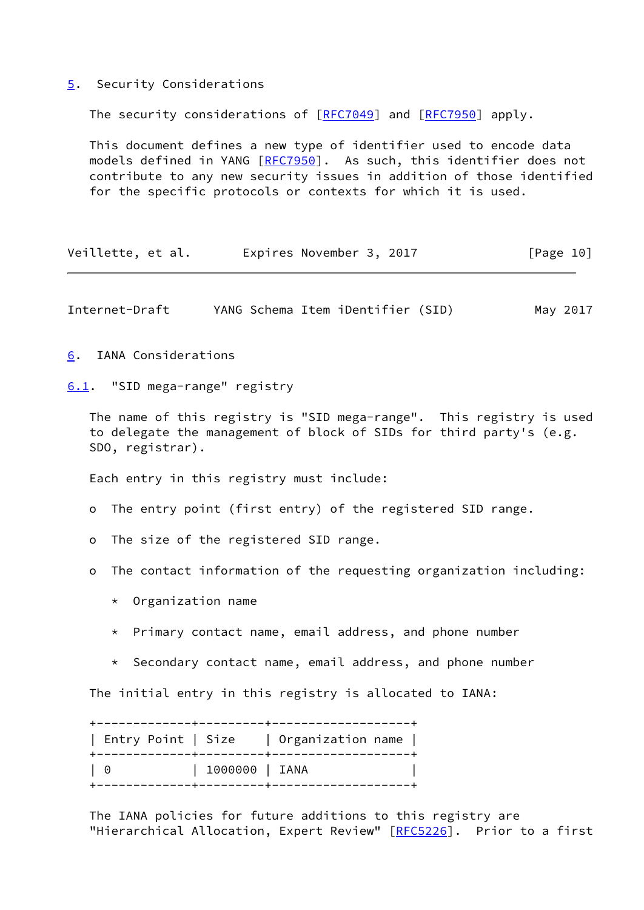## <span id="page-11-0"></span>[5](#page-11-0). Security Considerations

The security considerations of [\[RFC7049](https://datatracker.ietf.org/doc/pdf/rfc7049)] and [\[RFC7950](https://datatracker.ietf.org/doc/pdf/rfc7950)] apply.

 This document defines a new type of identifier used to encode data models defined in YANG [\[RFC7950](https://datatracker.ietf.org/doc/pdf/rfc7950)]. As such, this identifier does not contribute to any new security issues in addition of those identified for the specific protocols or contexts for which it is used.

Veillette, et al. Expires November 3, 2017 [Page 10]

<span id="page-11-2"></span>Internet-Draft YANG Schema Item iDentifier (SID) May 2017

<span id="page-11-1"></span>[6](#page-11-1). IANA Considerations

<span id="page-11-3"></span>[6.1](#page-11-3). "SID mega-range" registry

 The name of this registry is "SID mega-range". This registry is used to delegate the management of block of SIDs for third party's (e.g. SDO, registrar).

Each entry in this registry must include:

o The entry point (first entry) of the registered SID range.

o The size of the registered SID range.

o The contact information of the requesting organization including:

- \* Organization name
- \* Primary contact name, email address, and phone number
- \* Secondary contact name, email address, and phone number

The initial entry in this registry is allocated to IANA:

| Entry Point   Size |                                                              | Organization name |
|--------------------|--------------------------------------------------------------|-------------------|
| - 0                | 1000000   IANA<br>. - - - - - - - - <del>+</del> - - - - - - |                   |

 The IANA policies for future additions to this registry are "Hierarchical Allocation, Expert Review" [\[RFC5226](https://datatracker.ietf.org/doc/pdf/rfc5226)]. Prior to a first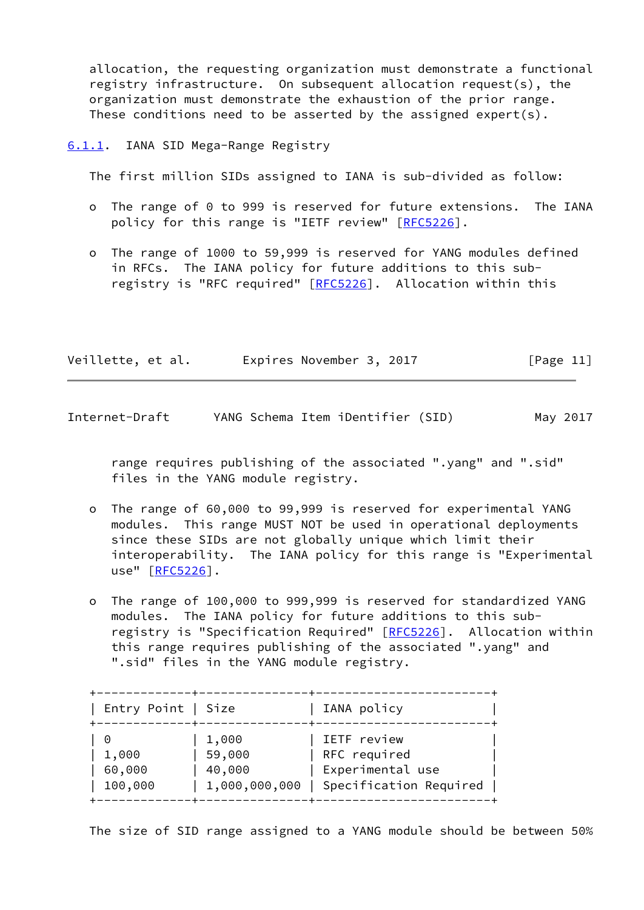allocation, the requesting organization must demonstrate a functional registry infrastructure. On subsequent allocation request(s), the organization must demonstrate the exhaustion of the prior range. These conditions need to be asserted by the assigned expert(s).

<span id="page-12-0"></span>[6.1.1](#page-12-0). IANA SID Mega-Range Registry

The first million SIDs assigned to IANA is sub-divided as follow:

- o The range of 0 to 999 is reserved for future extensions. The IANA policy for this range is "IETF review" [[RFC5226](https://datatracker.ietf.org/doc/pdf/rfc5226)].
- o The range of 1000 to 59,999 is reserved for YANG modules defined in RFCs. The IANA policy for future additions to this sub- registry is "RFC required" [[RFC5226](https://datatracker.ietf.org/doc/pdf/rfc5226)]. Allocation within this

| Veillette, et al. | Expires November 3, 2017 |  | [Page 11] |
|-------------------|--------------------------|--|-----------|
|-------------------|--------------------------|--|-----------|

<span id="page-12-1"></span>

| Internet-Draft |  |  |  | YANG Schema Item iDentifier (SID) |  |  | May 2017 |
|----------------|--|--|--|-----------------------------------|--|--|----------|
|----------------|--|--|--|-----------------------------------|--|--|----------|

 range requires publishing of the associated ".yang" and ".sid" files in the YANG module registry.

- o The range of 60,000 to 99,999 is reserved for experimental YANG modules. This range MUST NOT be used in operational deployments since these SIDs are not globally unique which limit their interoperability. The IANA policy for this range is "Experimental use" [\[RFC5226](https://datatracker.ietf.org/doc/pdf/rfc5226)].
- o The range of 100,000 to 999,999 is reserved for standardized YANG modules. The IANA policy for future additions to this sub- registry is "Specification Required" [\[RFC5226](https://datatracker.ietf.org/doc/pdf/rfc5226)]. Allocation within this range requires publishing of the associated ".yang" and ".sid" files in the YANG module registry.

| Entry Point   Size |               | IANA policy            |
|--------------------|---------------|------------------------|
| $\Theta$           | 1,000         | IETF review            |
| 1,000              | 59,000        | RFC required           |
| 60,000             | 40,000        | Experimental use       |
| 100,000            | 1,000,000,000 | Specification Required |

The size of SID range assigned to a YANG module should be between 50%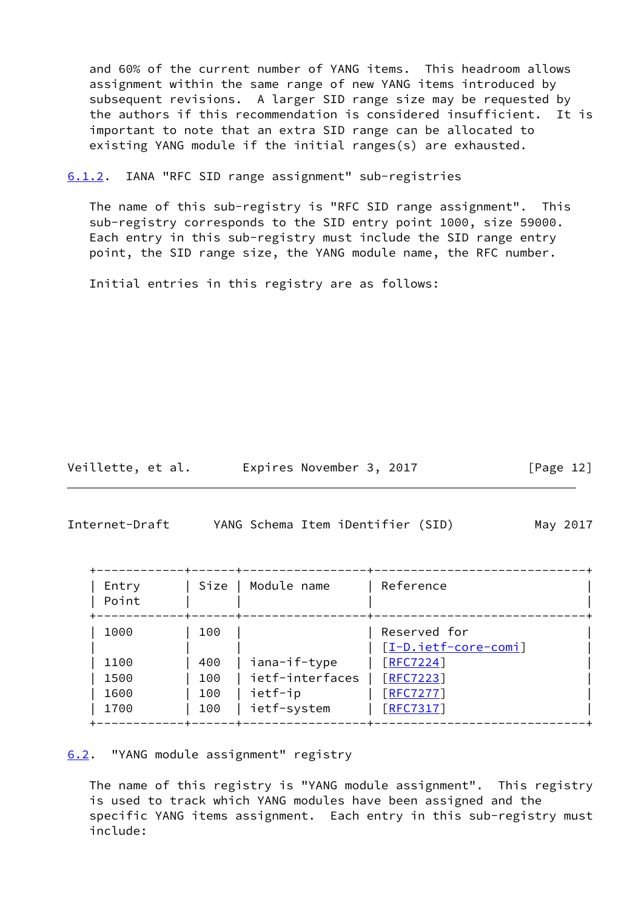and 60% of the current number of YANG items. This headroom allows assignment within the same range of new YANG items introduced by subsequent revisions. A larger SID range size may be requested by the authors if this recommendation is considered insufficient. It is important to note that an extra SID range can be allocated to existing YANG module if the initial ranges(s) are exhausted.

<span id="page-13-0"></span>[6.1.2](#page-13-0). IANA "RFC SID range assignment" sub-registries

 The name of this sub-registry is "RFC SID range assignment". This sub-registry corresponds to the SID entry point 1000, size 59000. Each entry in this sub-registry must include the SID range entry point, the SID range size, the YANG module name, the RFC number.

Initial entries in this registry are as follows:

Veillette, et al. Expires November 3, 2017 [Page 12]

<span id="page-13-2"></span>Internet-Draft YANG Schema Item iDentifier (SID) May 2017

| Entry<br>Point | Size | Module name     | Reference                         |
|----------------|------|-----------------|-----------------------------------|
| 1000           | 100  |                 | Reserved for                      |
| 1100           | 400  | iana-if-type    | [I-D.ietf-core-comi]<br>[RFC7224] |
|                |      | ietf-interfaces |                                   |
| 1500           | 100  |                 | [REC7223]                         |
| 1600           | 100  | ietf-ip         | [REC7277]                         |
| 1700           | 100  | ietf-system     | [REC7317]                         |

<span id="page-13-1"></span>[6.2](#page-13-1). "YANG module assignment" registry

 The name of this registry is "YANG module assignment". This registry is used to track which YANG modules have been assigned and the specific YANG items assignment. Each entry in this sub-registry must include: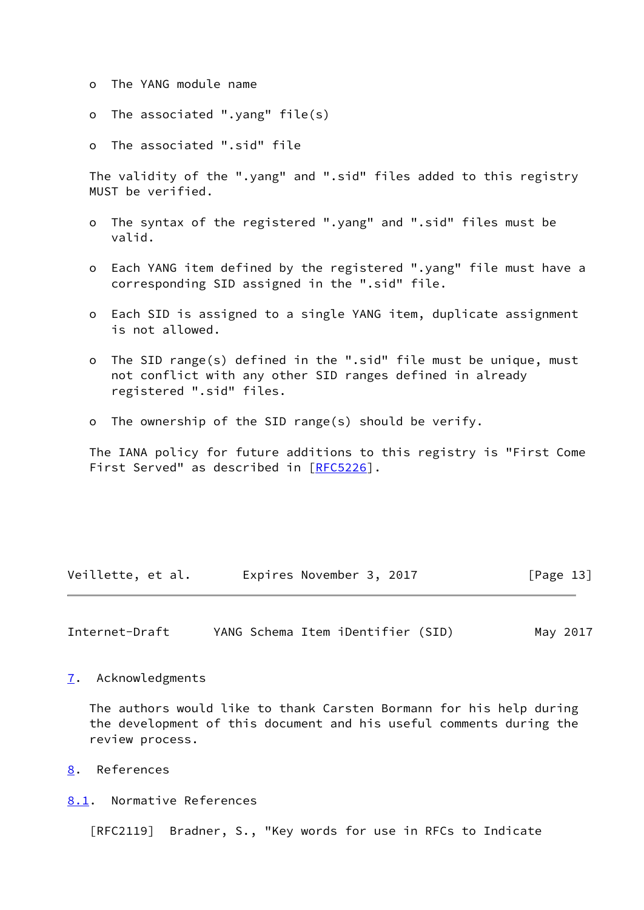- o The YANG module name
- o The associated ".yang" file(s)
- o The associated ".sid" file

 The validity of the ".yang" and ".sid" files added to this registry MUST be verified.

- o The syntax of the registered ".yang" and ".sid" files must be valid.
- o Each YANG item defined by the registered ".yang" file must have a corresponding SID assigned in the ".sid" file.
- o Each SID is assigned to a single YANG item, duplicate assignment is not allowed.
- o The SID range(s) defined in the ".sid" file must be unique, must not conflict with any other SID ranges defined in already registered ".sid" files.
- o The ownership of the SID range(s) should be verify.

 The IANA policy for future additions to this registry is "First Come First Served" as described in [[RFC5226](https://datatracker.ietf.org/doc/pdf/rfc5226)].

Veillette, et al. Expires November 3, 2017 [Page 13]

<span id="page-14-1"></span>Internet-Draft YANG Schema Item iDentifier (SID) May 2017

<span id="page-14-0"></span>[7](#page-14-0). Acknowledgments

 The authors would like to thank Carsten Bormann for his help during the development of this document and his useful comments during the review process.

<span id="page-14-2"></span>[8](#page-14-2). References

<span id="page-14-3"></span>[8.1](#page-14-3). Normative References

[RFC2119] Bradner, S., "Key words for use in RFCs to Indicate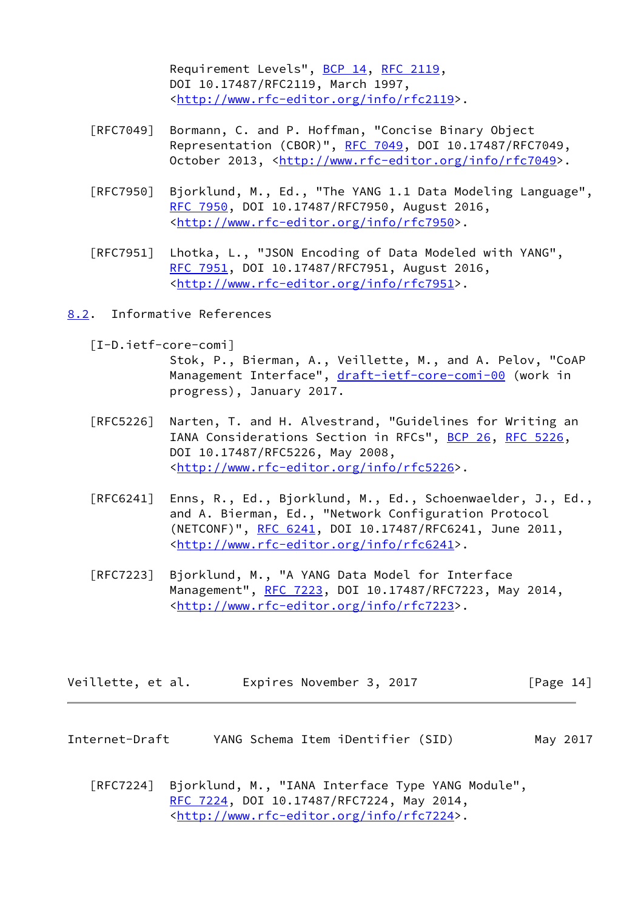Requirement Levels", [BCP 14](https://datatracker.ietf.org/doc/pdf/bcp14), [RFC 2119](https://datatracker.ietf.org/doc/pdf/rfc2119), DOI 10.17487/RFC2119, March 1997, <<http://www.rfc-editor.org/info/rfc2119>>.

- [RFC7049] Bormann, C. and P. Hoffman, "Concise Binary Object Representation (CBOR)", [RFC 7049,](https://datatracker.ietf.org/doc/pdf/rfc7049) DOI 10.17487/RFC7049, October 2013, [<http://www.rfc-editor.org/info/rfc7049](http://www.rfc-editor.org/info/rfc7049)>.
- [RFC7950] Bjorklund, M., Ed., "The YANG 1.1 Data Modeling Language", [RFC 7950,](https://datatracker.ietf.org/doc/pdf/rfc7950) DOI 10.17487/RFC7950, August 2016, <<http://www.rfc-editor.org/info/rfc7950>>.
- [RFC7951] Lhotka, L., "JSON Encoding of Data Modeled with YANG", [RFC 7951,](https://datatracker.ietf.org/doc/pdf/rfc7951) DOI 10.17487/RFC7951, August 2016, <<http://www.rfc-editor.org/info/rfc7951>>.
- <span id="page-15-2"></span><span id="page-15-0"></span>[8.2](#page-15-0). Informative References
	- [I-D.ietf-core-comi]

 Stok, P., Bierman, A., Veillette, M., and A. Pelov, "CoAP Management Interface", [draft-ietf-core-comi-00](https://datatracker.ietf.org/doc/pdf/draft-ietf-core-comi-00) (work in progress), January 2017.

- [RFC5226] Narten, T. and H. Alvestrand, "Guidelines for Writing an IANA Considerations Section in RFCs", [BCP 26](https://datatracker.ietf.org/doc/pdf/bcp26), [RFC 5226](https://datatracker.ietf.org/doc/pdf/rfc5226), DOI 10.17487/RFC5226, May 2008, <<http://www.rfc-editor.org/info/rfc5226>>.
- [RFC6241] Enns, R., Ed., Bjorklund, M., Ed., Schoenwaelder, J., Ed., and A. Bierman, Ed., "Network Configuration Protocol (NETCONF)", [RFC 6241,](https://datatracker.ietf.org/doc/pdf/rfc6241) DOI 10.17487/RFC6241, June 2011, <<http://www.rfc-editor.org/info/rfc6241>>.
- [RFC7223] Bjorklund, M., "A YANG Data Model for Interface Management", [RFC 7223](https://datatracker.ietf.org/doc/pdf/rfc7223), DOI 10.17487/RFC7223, May 2014, <<http://www.rfc-editor.org/info/rfc7223>>.

| Veillette, et al. | Expires November 3, 2017 | [Page 14] |
|-------------------|--------------------------|-----------|
|-------------------|--------------------------|-----------|

- <span id="page-15-1"></span>Internet-Draft YANG Schema Item iDentifier (SID) May 2017
	- [RFC7224] Bjorklund, M., "IANA Interface Type YANG Module", [RFC 7224,](https://datatracker.ietf.org/doc/pdf/rfc7224) DOI 10.17487/RFC7224, May 2014, <<http://www.rfc-editor.org/info/rfc7224>>.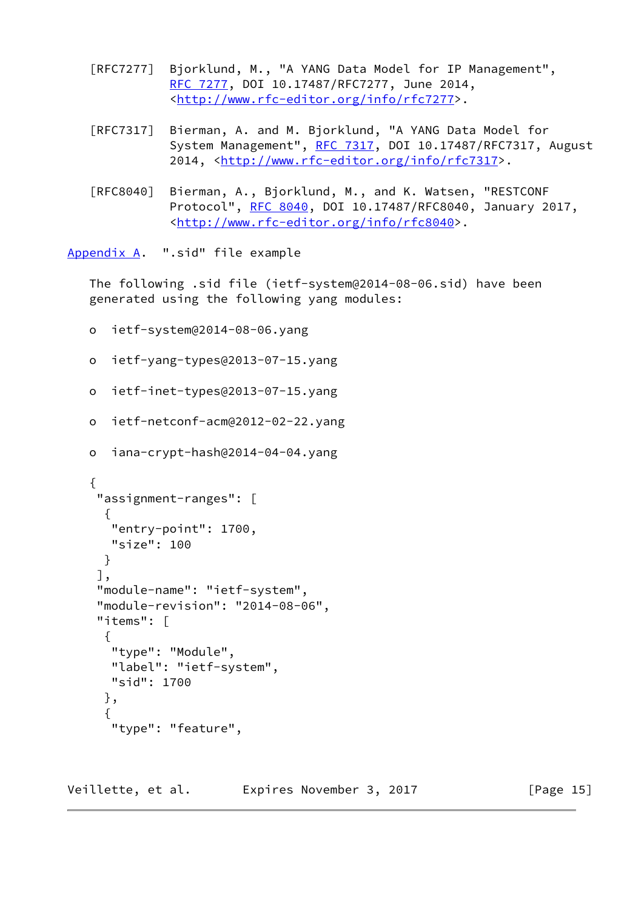- [RFC7277] Bjorklund, M., "A YANG Data Model for IP Management", [RFC 7277,](https://datatracker.ietf.org/doc/pdf/rfc7277) DOI 10.17487/RFC7277, June 2014, <<http://www.rfc-editor.org/info/rfc7277>>.
- [RFC7317] Bierman, A. and M. Bjorklund, "A YANG Data Model for System Management", [RFC 7317,](https://datatracker.ietf.org/doc/pdf/rfc7317) DOI 10.17487/RFC7317, August 2014, [<http://www.rfc-editor.org/info/rfc7317](http://www.rfc-editor.org/info/rfc7317)>.
- [RFC8040] Bierman, A., Bjorklund, M., and K. Watsen, "RESTCONF Protocol", [RFC 8040](https://datatracker.ietf.org/doc/pdf/rfc8040), DOI 10.17487/RFC8040, January 2017, <<http://www.rfc-editor.org/info/rfc8040>>.

<span id="page-16-0"></span>[Appendix A.](#page-16-0) ".sid" file example

 The following .sid file (ietf-system@2014-08-06.sid) have been generated using the following yang modules:

- o ietf-system@2014-08-06.yang
- o ietf-yang-types@2013-07-15.yang
- o ietf-inet-types@2013-07-15.yang
- o ietf-netconf-acm@2012-02-22.yang
- o iana-crypt-hash@2014-04-04.yang

```
 {
     "assignment-ranges": [
\{ "entry-point": 1700,
      "size": 100
      }
     ],
     "module-name": "ietf-system",
     "module-revision": "2014-08-06",
     "items": [
      {
       "type": "Module",
       "label": "ietf-system",
       "sid": 1700
      },
      {
       "type": "feature",
```
Veillette, et al. Expires November 3, 2017 [Page 15]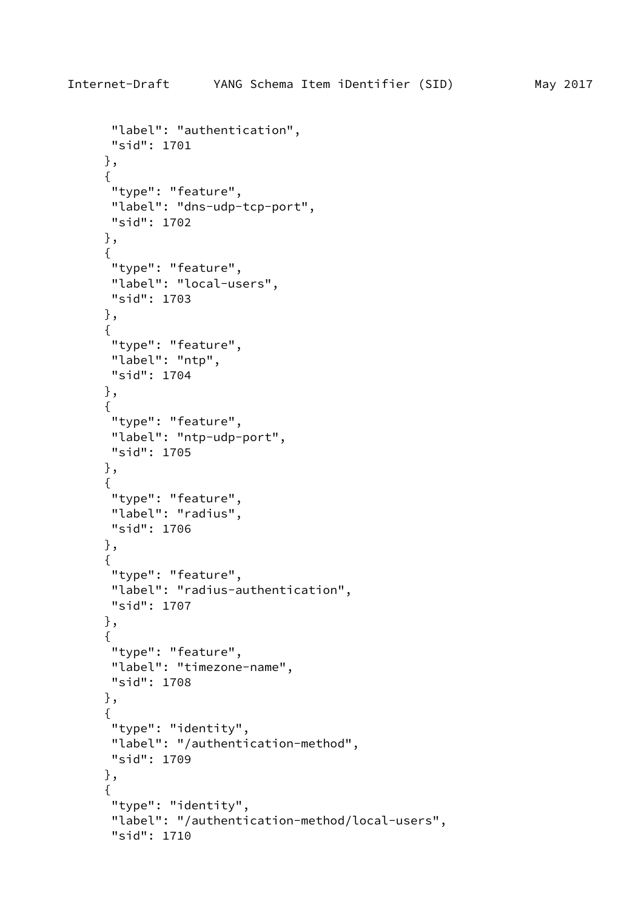```
 "label": "authentication",
 "sid": 1701
 },
 {
  "type": "feature",
 "label": "dns-udp-tcp-port",
 "sid": 1702
 },
 {
  "type": "feature",
 "label": "local-users",
 "sid": 1703
 },
 {
 "type": "feature",
 "label": "ntp",
 "sid": 1704
 },
 {
 "type": "feature",
 "label": "ntp-udp-port",
 "sid": 1705
 },
 {
 "type": "feature",
 "label": "radius",
 "sid": 1706
 },
 {
 "type": "feature",
 "label": "radius-authentication",
 "sid": 1707
 },
 {
  "type": "feature",
 "label": "timezone-name",
 "sid": 1708
 },
 {
  "type": "identity",
 "label": "/authentication-method",
 "sid": 1709
 },
 {
  "type": "identity",
  "label": "/authentication-method/local-users",
```

```
 "sid": 1710
```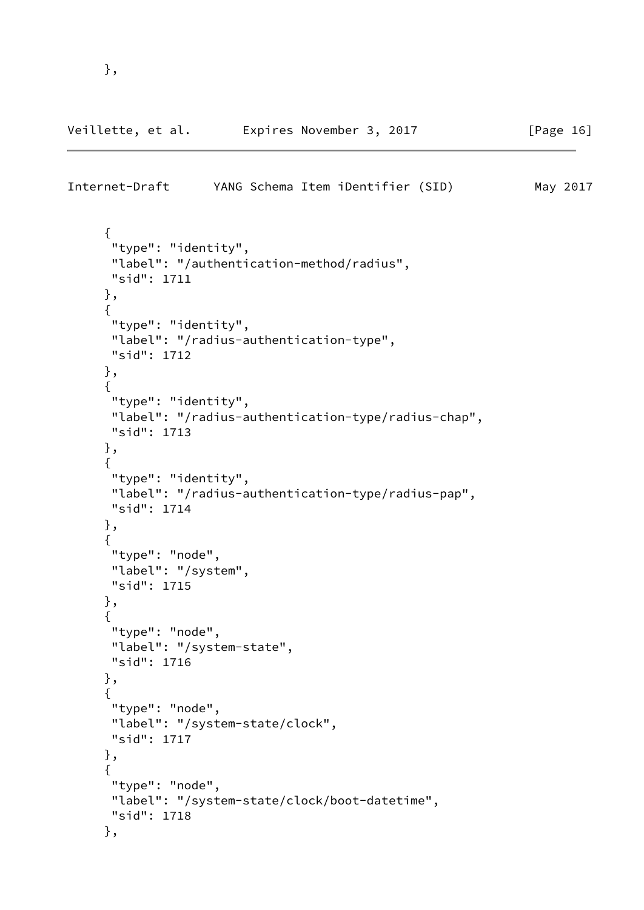},

```
 {
  "type": "identity",
  "label": "/authentication-method/radius",
 "sid": 1711
 },
 {
  "type": "identity",
  "label": "/radius-authentication-type",
  "sid": 1712
 },
 {
  "type": "identity",
  "label": "/radius-authentication-type/radius-chap",
  "sid": 1713
 },
 {
  "type": "identity",
  "label": "/radius-authentication-type/radius-pap",
 "sid": 1714
 },
 {
  "type": "node",
  "label": "/system",
 "sid": 1715
 },
 {
  "type": "node",
  "label": "/system-state",
  "sid": 1716
 },
 {
  "type": "node",
  "label": "/system-state/clock",
  "sid": 1717
 },
 {
  "type": "node",
 "label": "/system-state/clock/boot-datetime",
  "sid": 1718
 },
```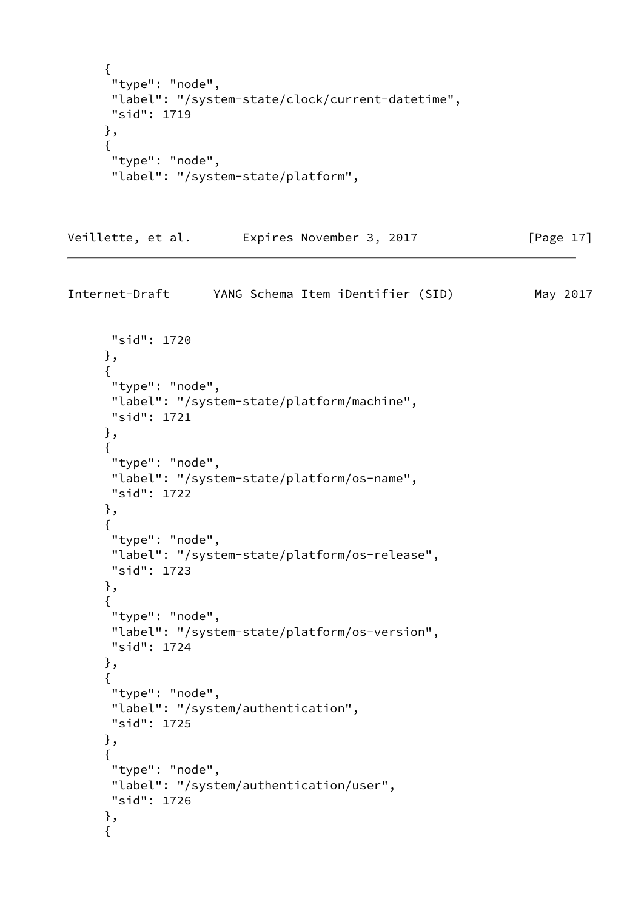```
 {
 "type": "node",
  "label": "/system-state/clock/current-datetime",
  "sid": 1719
 },
 {
  "type": "node",
  "label": "/system-state/platform",
```

```
Veillette, et al.  Expires November 3, 2017 [Page 17]
```

```
 "sid": 1720
 },
 {
  "type": "node",
  "label": "/system-state/platform/machine",
 "sid": 1721
 },
 {
  "type": "node",
  "label": "/system-state/platform/os-name",
 "sid": 1722
 },
 {
  "type": "node",
  "label": "/system-state/platform/os-release",
  "sid": 1723
 },
 {
  "type": "node",
  "label": "/system-state/platform/os-version",
  "sid": 1724
 },
 {
  "type": "node",
  "label": "/system/authentication",
 "sid": 1725
 },
 {
 "type": "node",
 "label": "/system/authentication/user",
 "sid": 1726
 },
 {
```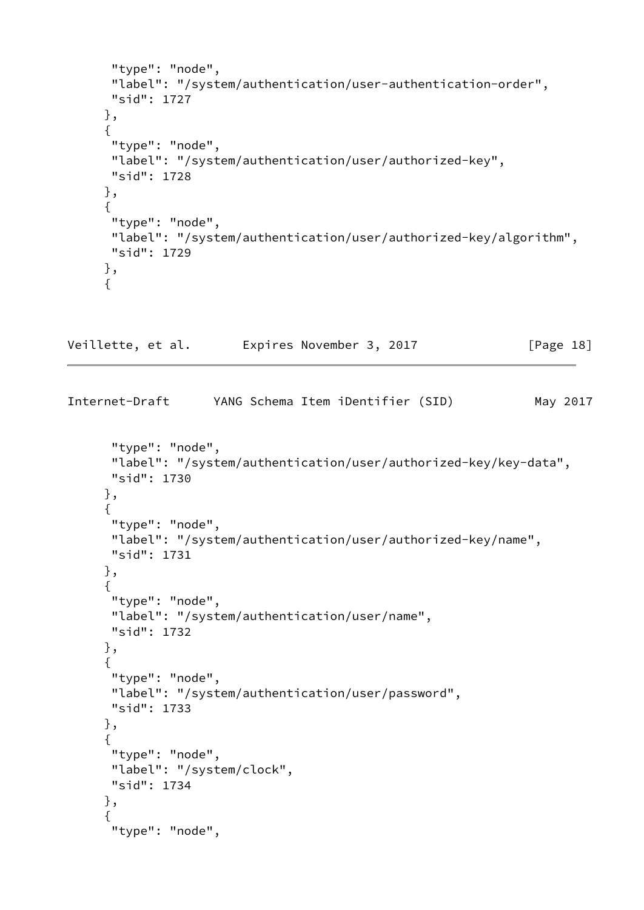```
 "type": "node",
       "label": "/system/authentication/user-authentication-order",
       "sid": 1727
      },
      {
       "type": "node",
       "label": "/system/authentication/user/authorized-key",
       "sid": 1728
      },
      {
       "type": "node",
       "label": "/system/authentication/user/authorized-key/algorithm",
      "sid": 1729
      },
      {
Veillette, et al.  Expires November 3, 2017 [Page 18]
Internet-Draft YANG Schema Item iDentifier (SID) May 2017
       "type": "node",
       "label": "/system/authentication/user/authorized-key/key-data",
       "sid": 1730
      },
      {
       "type": "node",
       "label": "/system/authentication/user/authorized-key/name",
      "sid": 1731
      },
      {
       "type": "node",
       "label": "/system/authentication/user/name",
      "sid": 1732
      },
      {
       "type": "node",
       "label": "/system/authentication/user/password",
      "sid": 1733
      },
      {
       "type": "node",
       "label": "/system/clock",
      "sid": 1734
      },
      {
       "type": "node",
```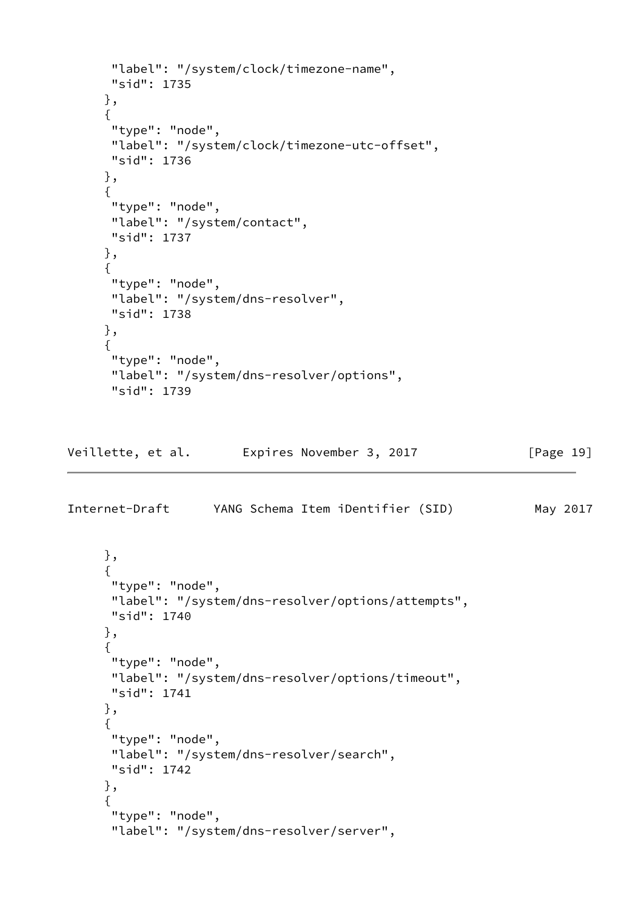```
 "label": "/system/clock/timezone-name",
       "sid": 1735
      },
      {
       "type": "node",
       "label": "/system/clock/timezone-utc-offset",
       "sid": 1736
      },
      {
       "type": "node",
       "label": "/system/contact",
       "sid": 1737
      },
      {
       "type": "node",
       "label": "/system/dns-resolver",
      "sid": 1738
      },
      {
       "type": "node",
       "label": "/system/dns-resolver/options",
       "sid": 1739
Veillette, et al.  Expires November 3, 2017 [Page 19]
Internet-Draft YANG Schema Item iDentifier (SID) May 2017
      },
      {
       "type": "node",
       "label": "/system/dns-resolver/options/attempts",
      "sid": 1740
      },
      {
       "type": "node",
       "label": "/system/dns-resolver/options/timeout",
       "sid": 1741
      },
      {
       "type": "node",
       "label": "/system/dns-resolver/search",
       "sid": 1742
      },
      {
       "type": "node",
       "label": "/system/dns-resolver/server",
```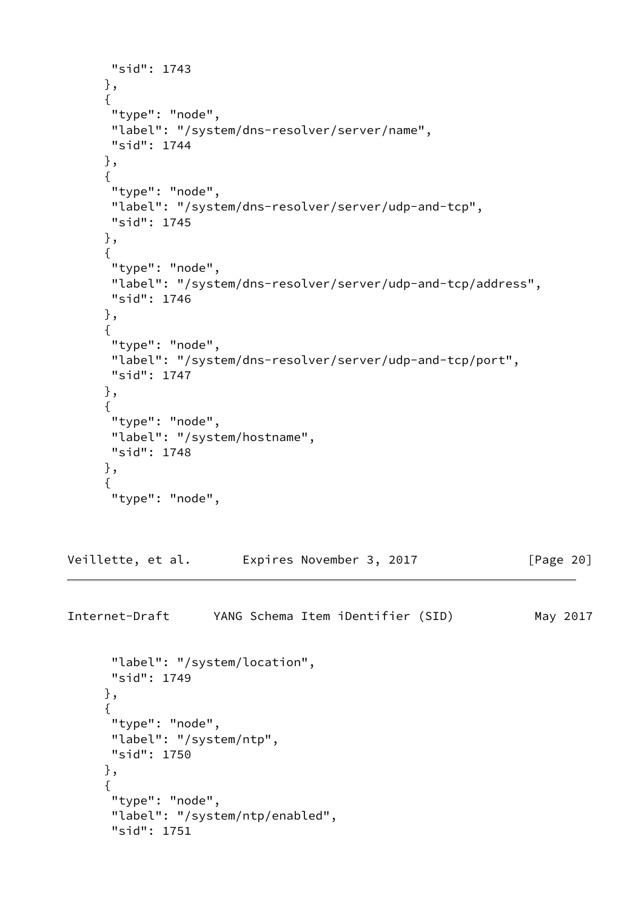```
 "sid": 1743
      },
      {
       "type": "node",
      "label": "/system/dns-resolver/server/name",
      "sid": 1744
      },
      {
       "type": "node",
       "label": "/system/dns-resolver/server/udp-and-tcp",
      "sid": 1745
      },
      {
       "type": "node",
       "label": "/system/dns-resolver/server/udp-and-tcp/address",
      "sid": 1746
      },
      {
       "type": "node",
       "label": "/system/dns-resolver/server/udp-and-tcp/port",
      "sid": 1747
      },
      {
       "type": "node",
      "label": "/system/hostname",
      "sid": 1748
      },
      {
       "type": "node",
Veillette, et al.  Expires November 3, 2017 [Page 20]
Internet-Draft YANG Schema Item iDentifier (SID) May 2017
       "label": "/system/location",
       "sid": 1749
      },
      {
       "type": "node",
      "label": "/system/ntp",
      "sid": 1750
      },
      {
       "type": "node",
       "label": "/system/ntp/enabled",
```

```
 "sid": 1751
```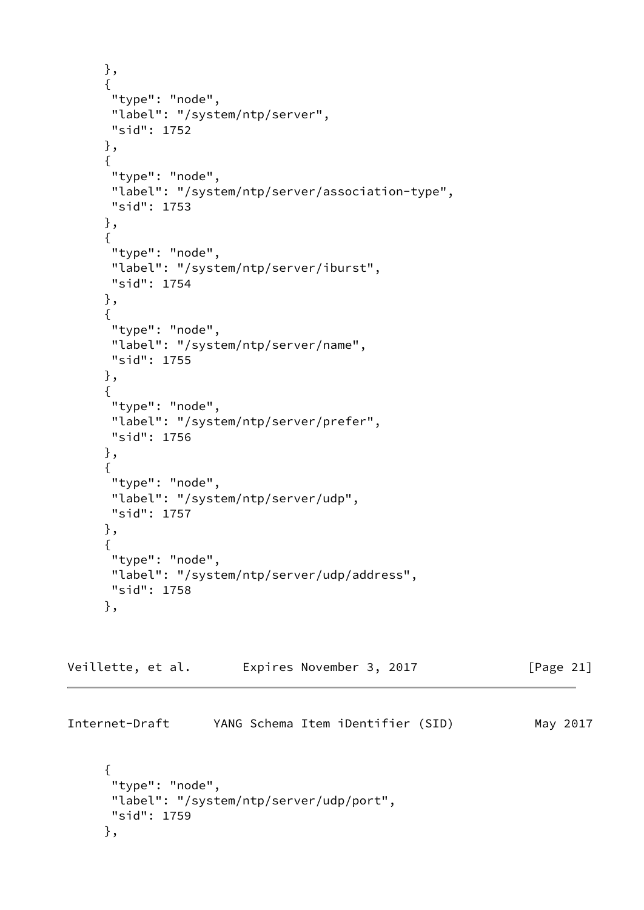```
 },
      {
      "type": "node",
       "label": "/system/ntp/server",
      "sid": 1752
      },
      {
       "type": "node",
       "label": "/system/ntp/server/association-type",
       "sid": 1753
      },
      {
       "type": "node",
       "label": "/system/ntp/server/iburst",
       "sid": 1754
      },
      {
       "type": "node",
       "label": "/system/ntp/server/name",
       "sid": 1755
      },
      {
       "type": "node",
       "label": "/system/ntp/server/prefer",
      "sid": 1756
      },
      {
       "type": "node",
       "label": "/system/ntp/server/udp",
       "sid": 1757
      },
      {
       "type": "node",
       "label": "/system/ntp/server/udp/address",
      "sid": 1758
      },
Veillette, et al. 
Expires November 3, 2017 [Page 21]
Internet-Draft YANG Schema Item iDentifier (SID) May 2017
```

```
 {
  "type": "node",
 "label": "/system/ntp/server/udp/port",
 "sid": 1759
 },
```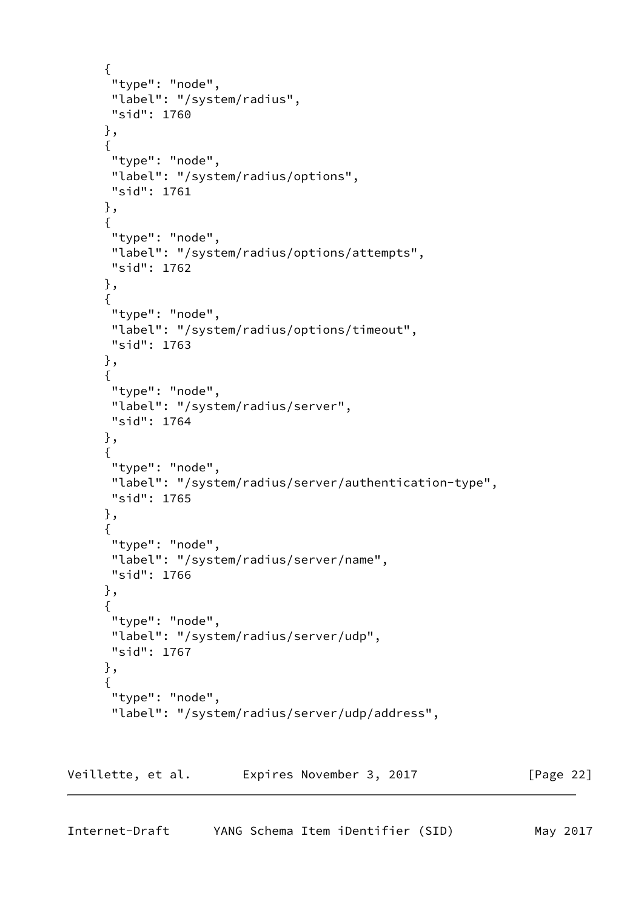```
 {
  "type": "node",
  "label": "/system/radius",
  "sid": 1760
 },
 {
  "type": "node",
  "label": "/system/radius/options",
 "sid": 1761
 },
 {
  "type": "node",
  "label": "/system/radius/options/attempts",
  "sid": 1762
 },
 {
  "type": "node",
  "label": "/system/radius/options/timeout",
  "sid": 1763
 },
 {
  "type": "node",
  "label": "/system/radius/server",
 "sid": 1764
 },
 {
  "type": "node",
  "label": "/system/radius/server/authentication-type",
  "sid": 1765
 },
 {
  "type": "node",
  "label": "/system/radius/server/name",
  "sid": 1766
 },
 {
  "type": "node",
  "label": "/system/radius/server/udp",
 "sid": 1767
 },
 {
  "type": "node",
  "label": "/system/radius/server/udp/address",
```
<span id="page-24-0"></span>Veillette, et al. Expires November 3, 2017 [Page 22]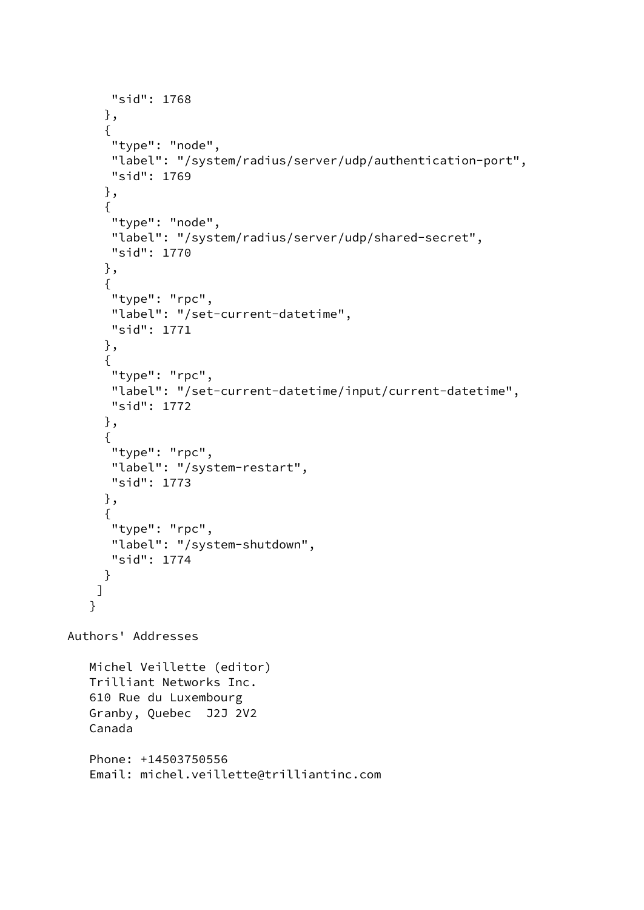```
 "sid": 1768
      },
      {
       "type": "node",
       "label": "/system/radius/server/udp/authentication-port",
       "sid": 1769
      },
      {
       "type": "node",
       "label": "/system/radius/server/udp/shared-secret",
       "sid": 1770
      },
      {
       "type": "rpc",
       "label": "/set-current-datetime",
       "sid": 1771
      },
      {
       "type": "rpc",
       "label": "/set-current-datetime/input/current-datetime",
       "sid": 1772
      },
      {
       "type": "rpc",
       "label": "/system-restart",
       "sid": 1773
      },
      {
       "type": "rpc",
       "label": "/system-shutdown",
       "sid": 1774
      }
     ]
    }
Authors' Addresses
    Michel Veillette (editor)
    Trilliant Networks Inc.
    610 Rue du Luxembourg
    Granby, Quebec J2J 2V2
    Canada
    Phone: +14503750556
    Email: michel.veillette@trilliantinc.com
```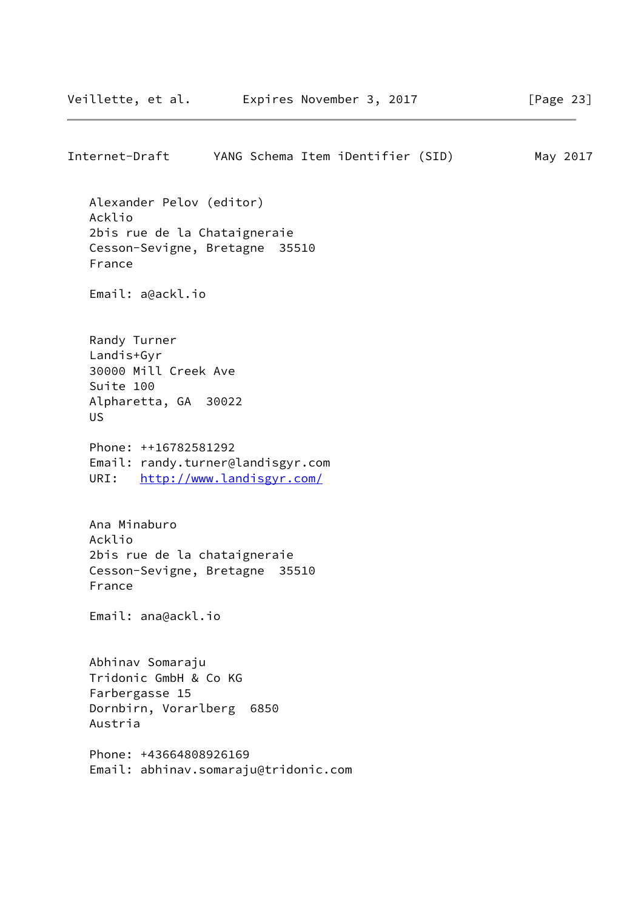Internet-Draft YANG Schema Item iDentifier (SID) May 2017 Alexander Pelov (editor) Acklio 2bis rue de la Chataigneraie Cesson-Sevigne, Bretagne 35510 France Email: a@ackl.io Randy Turner Landis+Gyr 30000 Mill Creek Ave Suite 100 Alpharetta, GA 30022 US Phone: ++16782581292 Email: randy.turner@landisgyr.com URI: <http://www.landisgyr.com/> Ana Minaburo Acklio 2bis rue de la chataigneraie Cesson-Sevigne, Bretagne 35510 France Email: ana@ackl.io Abhinav Somaraju Tridonic GmbH & Co KG Farbergasse 15 Dornbirn, Vorarlberg 6850 Austria Phone: +43664808926169 Email: abhinav.somaraju@tridonic.com